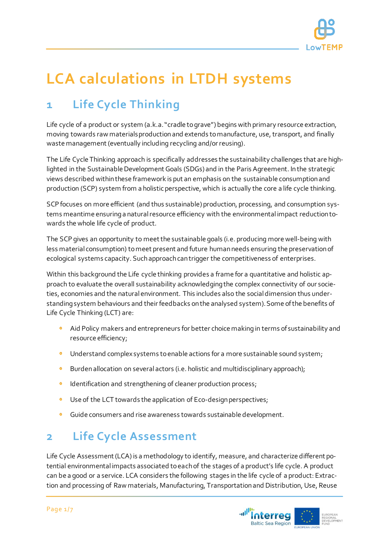

# **LCA calculations in LTDH systems**

# **1 Life Cycle Thinking**

Life cycle of a product or system (a.k.a. "cradle to grave") begins with primary resource extraction, moving towards raw materials production and extends to manufacture, use, transport, and finally waste management (eventually including recycling and/or reusing).

The Life Cycle Thinking approach is specifically addresses the sustainability challenges that are highlighted in the Sustainable Development Goals (SDGs) and in the Paris Agreement. In the strategic views described within these framework is put an emphasis on the sustainable consumption and production (SCP) system from a holistic perspective, which is actually the core a life cycle thinking.

SCP focuses on more efficient (and thus sustainable) production, processing, and consumption systems meantime ensuring a natural resource efficiency with the environmental impact reduction towards the whole life cycle of product.

The SCP gives an opportunity to meet the sustainable goals (i.e. producing more well-being with less material consumption) to meet present and future human needs ensuring the preservation of ecological systems capacity. Such approach can trigger the competitiveness of enterprises.

Within this background the Life cycle thinking provides a frame for a quantitative and holistic approach to evaluate the overall sustainability acknowledging the complex connectivity of our societies, economies and the natural environment. This includes also the social dimension thus understanding system behaviours and their feedbacks on the analysed system). Some of the benefits of Life Cycle Thinking (LCT) are:

- Aid Policy makers and entrepreneurs for better choice makingin terms of sustainability and resource efficiency;
- $\bullet$ Understand complex systems to enable actions for a more sustainable sound system;
- $\bullet$ Burden allocation on several actors (i.e. holistic and multidisciplinary approach);
- Identification and strengthening of cleaner production process;  $\bullet$
- Use of the LCT towards the application of Eco-design perspectives; ¢
- Guide consumers and rise awareness towards sustainable development.

# **2 Life Cycle Assessment**

Life Cycle Assessment (LCA) is a methodology to identify, measure, and characterize different potential environmental impacts associated to each of the stages of a product's life cycle. A product can be a good or a service. LCA considers the following stages in the life cycle of a product: Extraction and processing of Raw materials, Manufacturing, Transportation and Distribution, Use, Reuse

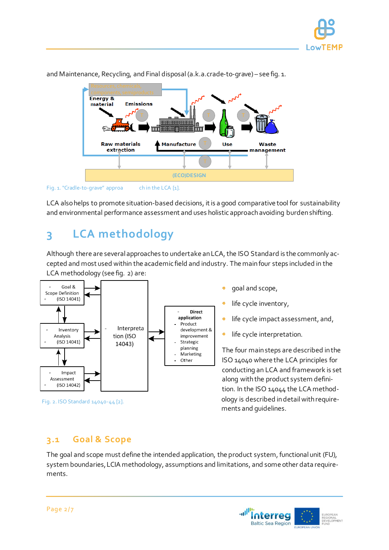



and Maintenance, Recycling, and Final disposal (a.k.a.crade-to-grave) – see fig. 1.

LCA also helps to promote situation-based decisions, it is a good comparative tool for sustainability and environmental performance assessment and uses holistic approach avoiding burden shifting.

# **3 LCA methodology**

Although there are several approaches to undertake an LCA, the ISO Standard is the commonly accepted and most used within the academic field and industry. The main four steps included in the LCA methodology (see fig. 2) are:





The four main steps are described in the conducting an LCA and framework is set ology is described in detail with requirements and guidelines.

#### **3.1 Goal & Scope**

The goal and scope must define the intended application, the product system, functional unit (FU), system boundaries, LCIA methodology, assumptions and limitations, and some other data requirements.



Fig. 1. "Cradle-to-grave" approa ch in the LCA [1].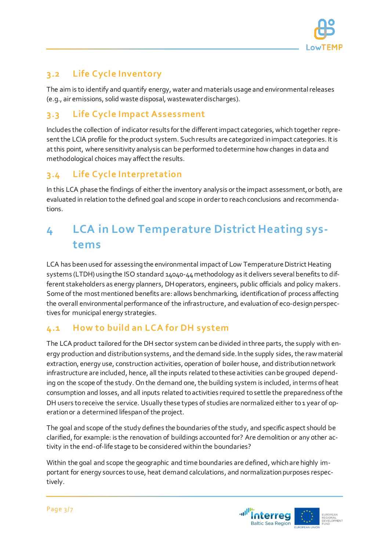

#### **3.2 Life Cycle Inventory**

The aim is to identify and quantify energy, water and materials usage and environmental releases (e.g., air emissions, solid waste disposal, wastewater discharges).

#### **3.3 Life Cycle Impact Assessment**

Includes the collection of indicator results for the different impact categories, which together represent the LCIA profile for the product system. Such results are categorized in impact categories. It is at this point, where sensitivity analysis can be performed to determine how changes in data and methodological choices may affect the results.

#### **3.4 Life Cycle Interpretation**

In this LCA phase the findings of either the inventory analysis or the impact assessment, or both, are evaluated in relation to the defined goal and scope in order to reach conclusions and recommendations.

## **4 LCA in Low Temperature District Heating systems**

LCA has been used for assessing the environmental impact of Low Temperature District Heating systems (LTDH) using the ISO standard 14040-44methodology as it delivers several benefits to different stakeholders as energy planners, DH operators, engineers, public officials and policy makers. Some of the most mentioned benefits are: allows benchmarking, identification of process affecting the overall environmental performance of the infrastructure, and evaluation of eco-design perspectives for municipal energy strategies.

#### **4.1 How to build an LCA for DH system**

The LCA product tailored for the DH sector system can be divided in three parts, the supply with energy production and distribution systems, and the demand side. In the supply sides, the raw material extraction, energy use, construction activities, operation of boiler house, and distribution network infrastructure are included, hence, all the inputs related to these activities can be grouped depending on the scope of the study. On the demand one, the building system is included, in terms ofheat consumption and losses, and all inputs related to activities required to settle the preparedness of the DH users to receive the service. Usually these types of studies are normalized either to 1 year of operation or a determined lifespan of the project.

The goal and scope of the study defines the boundaries of the study, and specific aspect should be clarified, for example: is the renovation of buildings accounted for? Are demolition or any other activity in the end-of-life stage to be considered within the boundaries?

Within the goal and scope the geographic and time boundaries are defined, which are highly important for energy sources to use, heat demand calculations, and normalization purposes respectively.

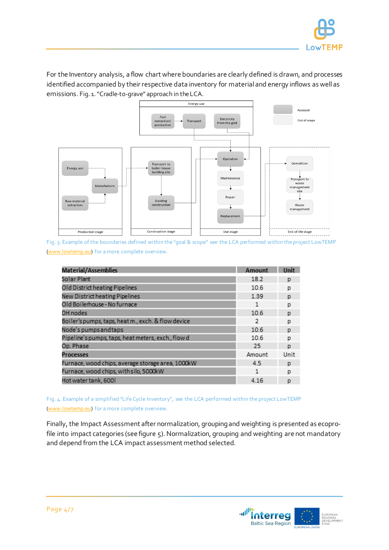

For the Inventory analysis, a flow chart where boundaries are clearly defined is drawn, and processes identified accompanied by their respective data inventory for material and energy inflows as well as emissions. Fig. 1."Cradle-to-grave" approach in the LCA.



Fig. 3. Example of the boundaries defined within the "goal & scope" see the LCA performed within the project LowTEMP [\(www.lowtemp.eu\)](http://www.lowtemp.eu/) for a more complete overview.

| Material/Assemblies                                | Amount | <b>Unit</b> |
|----------------------------------------------------|--------|-------------|
| Solar Plant                                        | 18.2   | D           |
| Old District heating Pipelines                     | 10.6   | p           |
| New District heating Pipelines                     | 1.39   | D           |
| Old Boilerhouse - No furnace                       | 1      | р           |
| DH nodes                                           | 10.6   | D           |
| Boiler's pumps, taps, heat m., exch. & flow device | 2      | p           |
| Node's pumps and taps                              | 10.6   | p           |
| Pipeline's pumps, taps, heat meters, exch., flow d | 10.6   | р           |
| Op. Phase                                          | 25     | p           |
| <b>Processes</b>                                   | Amount | Unit        |
| Furnace, wood chips, average storage area, 1000kW  | 4.5    | D           |
| Furnace, wood chips, with silo, 5000kW             | 1      | D           |
| Hot water tank, 600l                               | 4.16   | р           |

Fig. 4. Example of a simplified "Life Cycle Inventory", see the LCA performed within the project LowTEMP [\(www.lowtemp.eu\)](http://www.lowtemp.eu/) for a more complete overview.

Finally, the Impact Assessment after normalization, grouping and weighting is presented as ecoprofile into impact categories (see figure 5). Normalization, grouping and weighting are not mandatory and depend from the LCA impact assessment method selected.

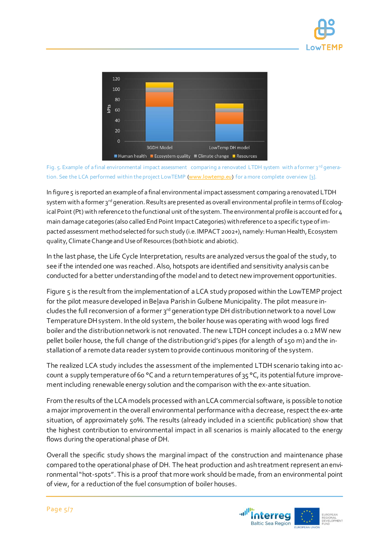



Fig. 5. Example of a final environmental impact assessment comparing a renovated LTDH system with a former  $3^{rd}$  genera-tion. See the LCA performed within the project LowTEMP [\(www.lowtemp.eu\)](http://www.lowtemp.eu/) for a more complete overview [3].

In figure 5 is reported an example of a final environmental impact assessment comparing a renovated LTDH system with a former 3rd generation. Results are presented as overall environmental profile in terms of Ecological Point (Pt) with reference to the functional unit of the system. The environmental profile is accounted for 4 main damage categories (also called End Point Impact Categories) with reference to a specific type of impacted assessment method selected for such study (i.e. IMPACT 2002+), namely: Human Health, Ecosystem quality, Climate Change and Use of Resources (both biotic and abiotic).

In the last phase, the Life Cycle Interpretation, results are analyzed versus the goal of the study, to see if the intended one was reached. Also, hotspots are identified and sensitivity analysis can be conducted for a better understanding of the model and to detect new improvement opportunities.

Figure 5 is the result from the implementation of a LCA study proposed within the LowTEMP project for the pilot measure developed in Belava Parish in Gulbene Municipality. The pilot measure includes the full reconversion of a former 3rd generation type DH distribution network to a novel Low Temperature DH system. In the old system, the boiler house was operating with wood logs fired boiler and the distribution network is not renovated. The new LTDH concept includes a 0.2 MW new pellet boiler house, the full change of the distribution grid's pipes (for a length of 150 m) and the installation of a remote data reader system to provide continuous monitoring of the system.

The realized LCA study includes the assessment of the implemented LTDH scenario taking into account a supply temperature of 60 °C and a return temperatures of 35 °C, its potential future improvementincluding renewable energy solution and the comparison with the ex-ante situation.

From the results of the LCA models processed with an LCA commercial software, is possible to notice a major improvement in the overall environmental performance with a decrease, respect the ex-ante situation, of approximately 50%. The results (already included in a scientific publication) show that the highest contribution to environmental impact in all scenarios is mainly allocated to the energy flows during the operational phase of DH.

Overall the specific study shows the marginal impact of the construction and maintenance phase compared to the operational phase of DH. The heat production and ash treatment represent an environmental "hot-spots". This is a proof that more work should be made, from an environmental point of view, for a reduction of the fuel consumption of boiler houses.

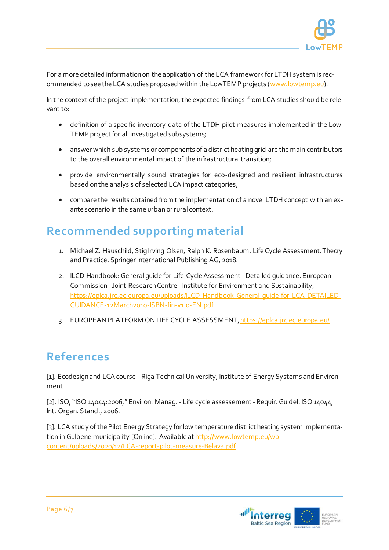

For a more detailed information on the application of the LCA framework for LTDH system is recommended to see the LCA studies proposed within the LowTEMP projects [\(www.lowtemp.eu\)](http://www.lowtemp.eu/).

In the context of the project implementation, the expected findings from LCA studies should be relevant to:

- definition of a specific inventory data of the LTDH pilot measures implemented in the Low-TEMP project for all investigated subsystems;
- answer which sub systems or components of a district heating grid are the main contributors to the overall environmental impact of the infrastructural transition;
- provide environmentally sound strategies for eco-designed and resilient infrastructures based on the analysis of selected LCA impact categories;
- compare the results obtained from the implementation of a novel LTDH concept with an exante scenario in the same urban or rural context.

### **Recommended supporting material**

- 1. Michael Z. Hauschild, Stig Irving Olsen, Ralph K. Rosenbaum. Life Cycle Assessment. Theory and Practice. Springer International Publishing AG, 2018.
- 2. ILCD Handbook: General guide for Life Cycle Assessment -Detailed guidance. European Commission -Joint Research Centre - Institute for Environment and Sustainability, [https://eplca.jrc.ec.europa.eu/uploads/ILCD-Handbook-General-guide-for-LCA-DETAILED-](https://eplca.jrc.ec.europa.eu/uploads/ILCD-Handbook-General-guide-for-LCA-DETAILED-GUIDANCE-12March2010-ISBN-fin-v1.0-EN.pdf)[GUIDANCE-12March2010-ISBN-fin-v1.0-EN.pdf](https://eplca.jrc.ec.europa.eu/uploads/ILCD-Handbook-General-guide-for-LCA-DETAILED-GUIDANCE-12March2010-ISBN-fin-v1.0-EN.pdf)
- 3. EUROPEAN PLATFORM ON LIFE CYCLE ASSESSMENT[, https://eplca.jrc.ec.europa.eu/](https://eplca.jrc.ec.europa.eu/)

# **References**

[1]. Ecodesign and LCA course - Riga Technical University, Institute of Energy Systems and Environment

[2]. ISO, "ISO 14044:2006," Environ. Manag. - Life cycle assessement - Requir. Guidel. ISO 14044, Int. Organ. Stand., 2006.

[3]. LCA study of the Pilot Energy Strategy for low temperature district heating system implementation in Gulbene municipality [Online]. Available a[t http://www.lowtemp.eu/wp](http://www.lowtemp.eu/wp-content/uploads/2020/12/LCA-report-pilot-measure-Belava.pdf)[content/uploads/2020/12/LCA-report-pilot-measure-Belava.pdf](http://www.lowtemp.eu/wp-content/uploads/2020/12/LCA-report-pilot-measure-Belava.pdf)